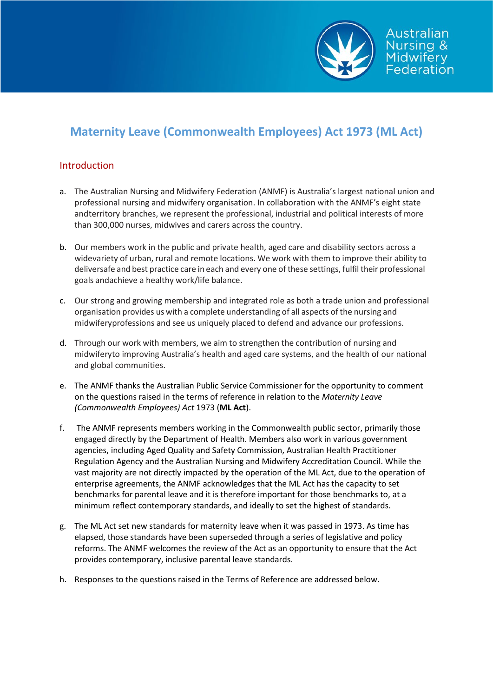

# **Maternity Leave (Commonwealth Employees) Act 1973 (ML Act)**

# Introduction

- a. The Australian Nursing and Midwifery Federation (ANMF) is Australia's largest national union and professional nursing and midwifery organisation. In collaboration with the ANMF's eight state and territory branches, we represent the professional, industrial and political interests of more than 300,000 nurses, midwives and carers across the country.
- b. Our members work in the public and private health, aged care and disability sectors across a widevariety of urban, rural and remote locations. We work with them to improve their ability to deliversafe and best practice care in each and every one of these settings, fulfil their professional goals andachieve a healthy work/life balance.
- c. Our strong and growing membership and integrated role as both a trade union and professional organisation provides us with a complete understanding of all aspects of the nursing and midwiferyprofessions and see us uniquely placed to defend and advance our professions.
- d. Through our work with members, we aim to strengthen the contribution of nursing and midwiferyto improving Australia's health and aged care systems, and the health of our national and global communities.
- e. The ANMF thanks the Australian Public Service Commissioner for the opportunity to comment on the questions raised in the terms of reference in relation to the *Maternity Leave (Commonwealth Employees) Act* 1973 (**ML Act**).
- f. The ANMF represents members working in the Commonwealth public sector, primarily those engaged directly by the Department of Health. Members also work in various government agencies, including Aged Quality and Safety Commission, Australian Health Practitioner Regulation Agency and the Australian Nursing and Midwifery Accreditation Council. While the vast majority are not directly impacted by the operation of the ML Act, due to the operation of enterprise agreements, the ANMF acknowledges that the ML Act has the capacity to set benchmarks for parental leave and it is therefore important for those benchmarks to, at a minimum reflect contemporary standards, and ideally to set the highest of standards.
- g. The ML Act set new standards for maternity leave when it was passed in 1973. As time has elapsed, those standards have been superseded through a series of legislative and policy reforms. The ANMF welcomes the review of the Act as an opportunity to ensure that the Act provides contemporary, inclusive parental leave standards.
- h. Responses to the questions raised in the Terms of Reference are addressed below.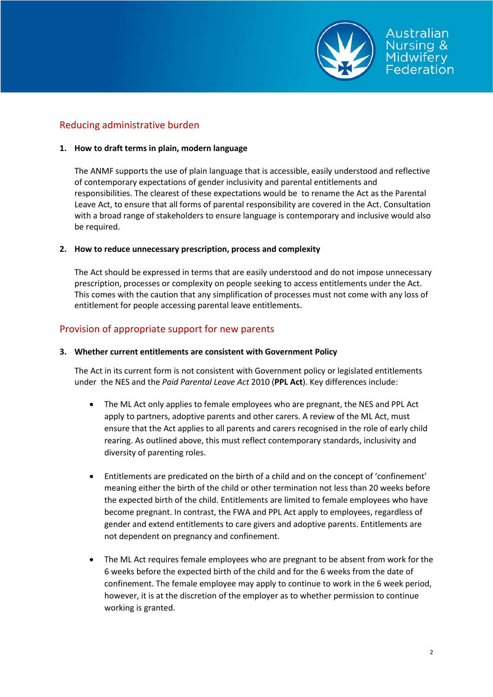

# Reducing administrative burden

#### **1. How to draft terms in plain, modern language**

The ANMF supports the use of plain language that is accessible, easily understood and reflective of contemporary expectations of gender inclusivity and parental entitlements and responsibilities. The clearest of these expectations would be to rename the Act as the Parental Leave Act, to ensure that all forms of parental responsibility are covered in the Act. Consultation with a broad range of stakeholders to ensure language is contemporary and inclusive would also be required.

#### **2. How to reduce unnecessary prescription, process and complexity**

The Act should be expressed in terms that are easily understood and do not impose unnecessary prescription, processes or complexity on people seeking to access entitlements under the Act. This comes with the caution that any simplification of processes must not come with any loss of entitlement for people accessing parental leave entitlements.

## Provision of appropriate support for new parents

#### **3. Whether current entitlements are consistent with Government Policy**

The Act in its current form is not consistent with Government policy or legislated entitlements under the NES and the *Paid Parental Leave Act* 2010 (**PPL Act**). Key differences include:

- The ML Act only applies to female employees who are pregnant, the NES and PPL Act apply to partners, adoptive parents and other carers. A review of the ML Act, must ensure that the Act applies to all parents and carers recognised in the role of early child rearing. As outlined above, this must reflect contemporary standards, inclusivity and diversity of parenting roles.
- Entitlements are predicated on the birth of a child and on the concept of 'confinement' meaning either the birth of the child or other termination not less than 20 weeks before the expected birth of the child. Entitlements are limited to female employees who have become pregnant. In contrast, the FWA and PPL Act apply to employees, regardless of gender and extend entitlements to care givers and adoptive parents. Entitlements are not dependent on pregnancy and confinement.
- The ML Act requires female employees who are pregnant to be absent from work for the 6 weeks before the expected birth of the child and for the 6 weeks from the date of confinement. The female employee may apply to continue to work in the 6 week period, however, it is at the discretion of the employer as to whether permission to continue working is granted.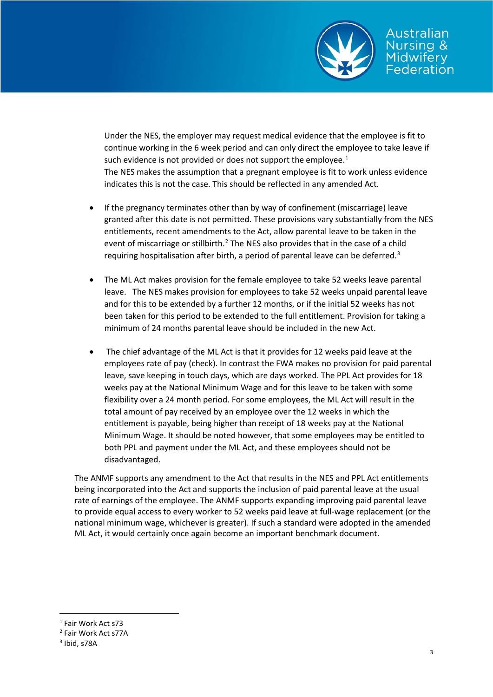

Under the NES, the employer may request medical evidence that the employee is fit to continue working in the 6 week period and can only direct the employee to take leave if such evidence is not provided or does not support the employee.<sup>[1](#page-2-0)</sup> The NES makes the assumption that a pregnant employee is fit to work unless evidence indicates this is not the case. This should be reflected in any amended Act.

- If the pregnancy terminates other than by way of confinement (miscarriage) leave granted after this date is not permitted. These provisions vary substantially from the NES entitlements, recent amendments to the Act, allow parental leave to be taken in the event of miscarriage or stillbirth.<sup>[2](#page-2-1)</sup> The NES also provides that in the case of a child requiring hospitalisation after birth, a period of parental leave can be deferred.<sup>[3](#page-2-2)</sup>
- The ML Act makes provision for the female employee to take 52 weeks leave parental leave. The NES makes provision for employees to take 52 weeks unpaid parental leave and for this to be extended by a further 12 months, or if the initial 52 weeks has not been taken for this period to be extended to the full entitlement. Provision for taking a minimum of 24 months parental leave should be included in the new Act.
- The chief advantage of the ML Act is that it provides for 12 weeks paid leave at the employees rate of pay (check). In contrast the FWA makes no provision for paid parental leave, save keeping in touch days, which are days worked. The PPL Act provides for 18 weeks pay at the National Minimum Wage and for this leave to be taken with some flexibility over a 24 month period. For some employees, the ML Act will result in the total amount of pay received by an employee over the 12 weeks in which the entitlement is payable, being higher than receipt of 18 weeks pay at the National Minimum Wage. It should be noted however, that some employees may be entitled to both PPL and payment under the ML Act, and these employees should not be disadvantaged.

The ANMF supports any amendment to the Act that results in the NES and PPL Act entitlements being incorporated into the Act and supports the inclusion of paid parental leave at the usual rate of earnings of the employee. The ANMF supports expanding improving paid parental leave to provide equal access to every worker to 52 weeks paid leave at full-wage replacement (or the national minimum wage, whichever is greater). If such a standard were adopted in the amended ML Act, it would certainly once again become an important benchmark document.

<span id="page-2-0"></span><sup>&</sup>lt;sup>1</sup> Fair Work Act s73

<span id="page-2-1"></span><sup>2</sup> Fair Work Act s77A

<span id="page-2-2"></span> $3$  Ibid, s78A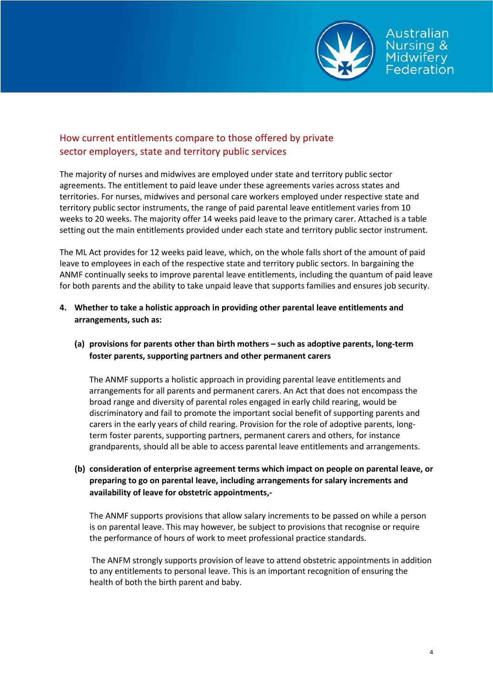

Australian ursing & **lidwifery** *<u><u>Ederation</u>*</u>

# How current entitlements compare to those offered by private sector employers, state and territory public services

The majority of nurses and midwives are employed under state and territory public sector agreements. The entitlement to paid leave under these agreements varies across states and territories. For nurses, midwives and personal care workers employed under respective state and territory public sector instruments, the range of paid parental leave entitlement varies from 10 weeks to 20 weeks. The majority offer 14 weeks paid leave to the primary carer. Attached is a table setting out the main entitlements provided under each state and territory public sector instrument.

The ML Act provides for 12 weeks paid leave, which, on the whole falls short of the amount of paid leave to employees in each of the respective state and territory public sectors. In bargaining the ANMF continually seeks to improve parental leave entitlements, including the quantum of paid leave for both parents and the ability to take unpaid leave that supports families and ensures job security.

## **4. Whether to take a holistic approach in providing other parental leave entitlements and arrangements, such as:**

### **(a) provisions for parents other than birth mothers – such as adoptive parents, long-term foster parents, supporting partners and other permanent carers**

The ANMF supports a holistic approach in providing parental leave entitlements and arrangements for all parents and permanent carers. An Act that does not encompass the broad range and diversity of parental roles engaged in early child rearing, would be discriminatory and fail to promote the important social benefit of supporting parents and carers in the early years of child rearing. Provision for the role of adoptive parents, longterm foster parents, supporting partners, permanent carers and others, for instance grandparents, should all be able to access parental leave entitlements and arrangements.

## **(b) consideration of enterprise agreement terms which impact on people on parental leave, or preparing to go on parental leave, including arrangements for salary increments and availability of leave for obstetric appointments,-**

The ANMF supports provisions that allow salary increments to be passed on while a person is on parental leave. This may however, be subject to provisions that recognise or require the performance of hours of work to meet professional practice standards.

The ANFM strongly supports provision of leave to attend obstetric appointments in addition to any entitlements to personal leave. This is an important recognition of ensuring the health of both the birth parent and baby.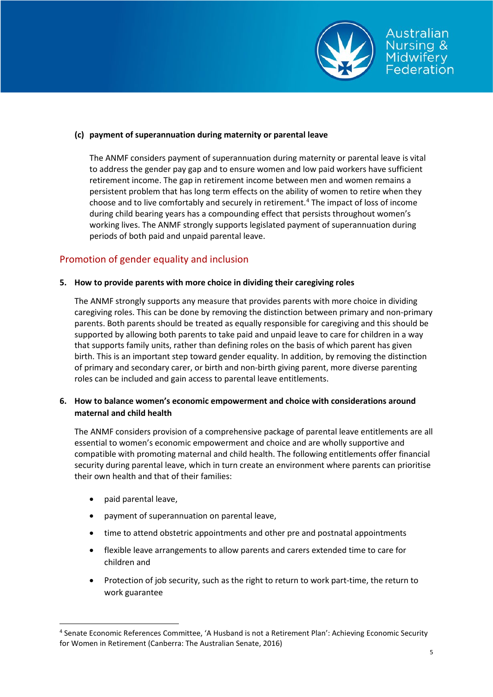

Australian Jursina & Midwifery Federation

The ANMF considers payment of superannuation during maternity or parental leave is vital to address the gender pay gap and to ensure women and low paid workers have sufficient retirement income. The gap in retirement income between men and women remains a persistent problem that has long term effects on the ability of women to retire when they choose and to live comfortably and securely in retirement.<sup>[4](#page-4-0)</sup> The impact of loss of income during child bearing years has a compounding effect that persists throughout women's working lives. The ANMF strongly supports legislated payment of superannuation during periods of both paid and unpaid parental leave.

## Promotion of gender equality and inclusion

#### **5. How to provide parents with more choice in dividing their caregiving roles**

The ANMF strongly supports any measure that provides parents with more choice in dividing caregiving roles. This can be done by removing the distinction between primary and non-primary parents. Both parents should be treated as equally responsible for caregiving and this should be supported by allowing both parents to take paid and unpaid leave to care for children in a way that supports family units, rather than defining roles on the basis of which parent has given birth. This is an important step toward gender equality. In addition, by removing the distinction of primary and secondary carer, or birth and non-birth giving parent, more diverse parenting roles can be included and gain access to parental leave entitlements.

### **6. How to balance women's economic empowerment and choice with considerations around maternal and child health**

The ANMF considers provision of a comprehensive package of parental leave entitlements are all essential to women's economic empowerment and choice and are wholly supportive and compatible with promoting maternal and child health. The following entitlements offer financial security during parental leave, which in turn create an environment where parents can prioritise their own health and that of their families:

- paid parental leave,
- payment of superannuation on parental leave,
- time to attend obstetric appointments and other pre and postnatal appointments
- flexible leave arrangements to allow parents and carers extended time to care for children and
- Protection of job security, such as the right to return to work part-time, the return to work guarantee

<span id="page-4-0"></span> <sup>4</sup> Senate Economic References Committee, 'A Husband is not a Retirement Plan': Achieving Economic Security for Women in Retirement (Canberra: The Australian Senate, 2016)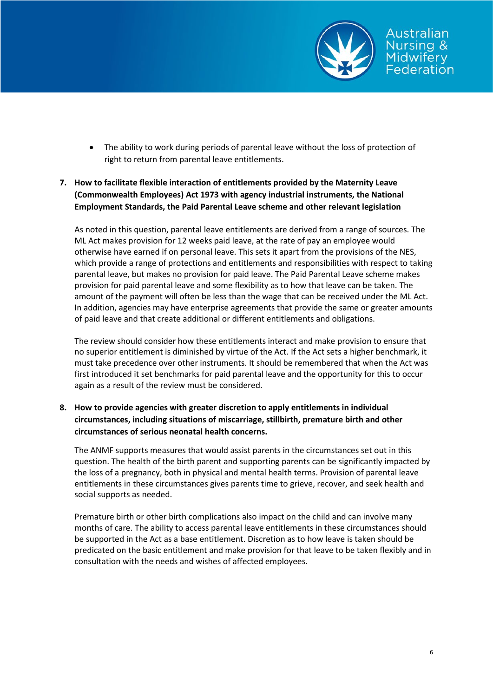

- The ability to work during periods of parental leave without the loss of protection of right to return from parental leave entitlements.
- **7. How to facilitate flexible interaction of entitlements provided by the Maternity Leave (Commonwealth Employees) Act 1973 with agency industrial instruments, the National Employment Standards, the Paid Parental Leave scheme and other relevant legislation**

As noted in this question, parental leave entitlements are derived from a range of sources. The ML Act makes provision for 12 weeks paid leave, at the rate of pay an employee would otherwise have earned if on personal leave. This sets it apart from the provisions of the NES, which provide a range of protections and entitlements and responsibilities with respect to taking parental leave, but makes no provision for paid leave. The Paid Parental Leave scheme makes provision for paid parental leave and some flexibility as to how that leave can be taken. The amount of the payment will often be less than the wage that can be received under the ML Act. In addition, agencies may have enterprise agreements that provide the same or greater amounts of paid leave and that create additional or different entitlements and obligations.

The review should consider how these entitlements interact and make provision to ensure that no superior entitlement is diminished by virtue of the Act. If the Act sets a higher benchmark, it must take precedence over other instruments. It should be remembered that when the Act was first introduced it set benchmarks for paid parental leave and the opportunity for this to occur again as a result of the review must be considered.

## **8. How to provide agencies with greater discretion to apply entitlements in individual circumstances, including situations of miscarriage, stillbirth, premature birth and other circumstances of serious neonatal health concerns.**

The ANMF supports measures that would assist parents in the circumstances set out in this question. The health of the birth parent and supporting parents can be significantly impacted by the loss of a pregnancy, both in physical and mental health terms. Provision of parental leave entitlements in these circumstances gives parents time to grieve, recover, and seek health and social supports as needed.

Premature birth or other birth complications also impact on the child and can involve many months of care. The ability to access parental leave entitlements in these circumstances should be supported in the Act as a base entitlement. Discretion as to how leave is taken should be predicated on the basic entitlement and make provision for that leave to be taken flexibly and in consultation with the needs and wishes of affected employees.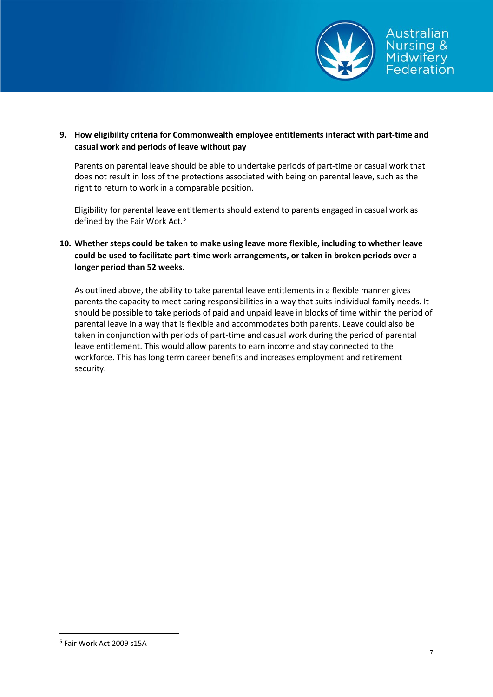

**9. How eligibility criteria for Commonwealth employee entitlements interact with part-time and casual work and periods of leave without pay**

Parents on parental leave should be able to undertake periods of part-time or casual work that does not result in loss of the protections associated with being on parental leave, such as the right to return to work in a comparable position.

Eligibility for parental leave entitlements should extend to parents engaged in casual work as defined by the Fair Work Act.<sup>[5](#page-6-0)</sup>

**10. Whether steps could be taken to make using leave more flexible, including to whether leave could be used to facilitate part-time work arrangements, or taken in broken periods over a longer period than 52 weeks.**

As outlined above, the ability to take parental leave entitlements in a flexible manner gives parents the capacity to meet caring responsibilities in a way that suits individual family needs. It should be possible to take periods of paid and unpaid leave in blocks of time within the period of parental leave in a way that is flexible and accommodates both parents. Leave could also be taken in conjunction with periods of part-time and casual work during the period of parental leave entitlement. This would allow parents to earn income and stay connected to the workforce. This has long term career benefits and increases employment and retirement security.

<span id="page-6-0"></span> <sup>5</sup> Fair Work Act 2009 s15A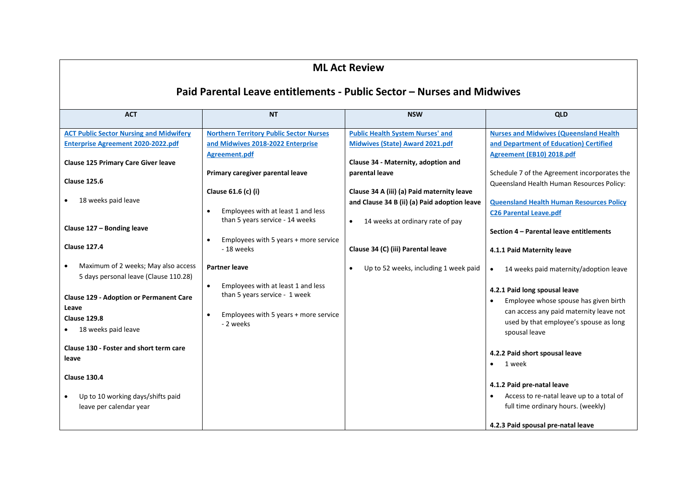| <b>ML Act Review</b>                                                                                                                                                                                                                                                                                                                                                                                                                                                                                                                                  |                                                                                                                                                                                                                                                                                                                                                                                                                                                                   |                                                                                                                                                                                                                                                                                                                                                                                       |                                                                                                                                                                                                                                                                                                                                                                                                                                                                                                                                                                                                                                                                                                                                                                                            |  |  |
|-------------------------------------------------------------------------------------------------------------------------------------------------------------------------------------------------------------------------------------------------------------------------------------------------------------------------------------------------------------------------------------------------------------------------------------------------------------------------------------------------------------------------------------------------------|-------------------------------------------------------------------------------------------------------------------------------------------------------------------------------------------------------------------------------------------------------------------------------------------------------------------------------------------------------------------------------------------------------------------------------------------------------------------|---------------------------------------------------------------------------------------------------------------------------------------------------------------------------------------------------------------------------------------------------------------------------------------------------------------------------------------------------------------------------------------|--------------------------------------------------------------------------------------------------------------------------------------------------------------------------------------------------------------------------------------------------------------------------------------------------------------------------------------------------------------------------------------------------------------------------------------------------------------------------------------------------------------------------------------------------------------------------------------------------------------------------------------------------------------------------------------------------------------------------------------------------------------------------------------------|--|--|
| Paid Parental Leave entitlements - Public Sector - Nurses and Midwives                                                                                                                                                                                                                                                                                                                                                                                                                                                                                |                                                                                                                                                                                                                                                                                                                                                                                                                                                                   |                                                                                                                                                                                                                                                                                                                                                                                       |                                                                                                                                                                                                                                                                                                                                                                                                                                                                                                                                                                                                                                                                                                                                                                                            |  |  |
| <b>ACT</b>                                                                                                                                                                                                                                                                                                                                                                                                                                                                                                                                            | <b>NT</b>                                                                                                                                                                                                                                                                                                                                                                                                                                                         | <b>NSW</b>                                                                                                                                                                                                                                                                                                                                                                            | <b>QLD</b>                                                                                                                                                                                                                                                                                                                                                                                                                                                                                                                                                                                                                                                                                                                                                                                 |  |  |
| <b>ACT Public Sector Nursing and Midwifery</b><br><b>Enterprise Agreement 2020-2022.pdf</b><br><b>Clause 125 Primary Care Giver leave</b><br><b>Clause 125.6</b><br>18 weeks paid leave<br>Clause 127 - Bonding leave<br><b>Clause 127.4</b><br>Maximum of 2 weeks; May also access<br>5 days personal leave (Clause 110.28)<br><b>Clause 129 - Adoption or Permanent Care</b><br>Leave<br><b>Clause 129.8</b><br>18 weeks paid leave<br>Clause 130 - Foster and short term care<br>leave<br><b>Clause 130.4</b><br>Up to 10 working days/shifts paid | <b>Northern Territory Public Sector Nurses</b><br>and Midwives 2018-2022 Enterprise<br><b>Agreement.pdf</b><br>Primary caregiver parental leave<br>Clause 61.6 (c) (i)<br>Employees with at least 1 and less<br>than 5 years service - 14 weeks<br>Employees with 5 years + more service<br>- 18 weeks<br>Partner leave<br>Employees with at least 1 and less<br>$\bullet$<br>than 5 years service - 1 week<br>Employees with 5 years + more service<br>- 2 weeks | <b>Public Health System Nurses' and</b><br><b>Midwives (State) Award 2021.pdf</b><br>Clause 34 - Maternity, adoption and<br>parental leave<br>Clause 34 A (iii) (a) Paid maternity leave<br>and Clause 34 B (ii) (a) Paid adoption leave<br>14 weeks at ordinary rate of pay<br>$\bullet$<br>Clause 34 (C) (iii) Parental leave<br>Up to 52 weeks, including 1 week paid<br>$\bullet$ | <b>Nurses and Midwives (Queensland Health</b><br>and Department of Education) Certified<br><b>Agreement (EB10) 2018.pdf</b><br>Schedule 7 of the Agreement incorporates the<br>Queensland Health Human Resources Policy:<br><b>Queensland Health Human Resources Policy</b><br><b>C26 Parental Leave.pdf</b><br>Section 4 - Parental leave entitlements<br>4.1.1 Paid Maternity leave<br>14 weeks paid maternity/adoption leave<br>$\bullet$<br>4.2.1 Paid long spousal leave<br>Employee whose spouse has given birth<br>$\bullet$<br>can access any paid maternity leave not<br>used by that employee's spouse as long<br>spousal leave<br>4.2.2 Paid short spousal leave<br>1 week<br>$\bullet$<br>4.1.2 Paid pre-natal leave<br>Access to re-natal leave up to a total of<br>$\bullet$ |  |  |
| leave per calendar year                                                                                                                                                                                                                                                                                                                                                                                                                                                                                                                               |                                                                                                                                                                                                                                                                                                                                                                                                                                                                   |                                                                                                                                                                                                                                                                                                                                                                                       | full time ordinary hours. (weekly)<br>4.2.3 Paid spousal pre-natal leave                                                                                                                                                                                                                                                                                                                                                                                                                                                                                                                                                                                                                                                                                                                   |  |  |